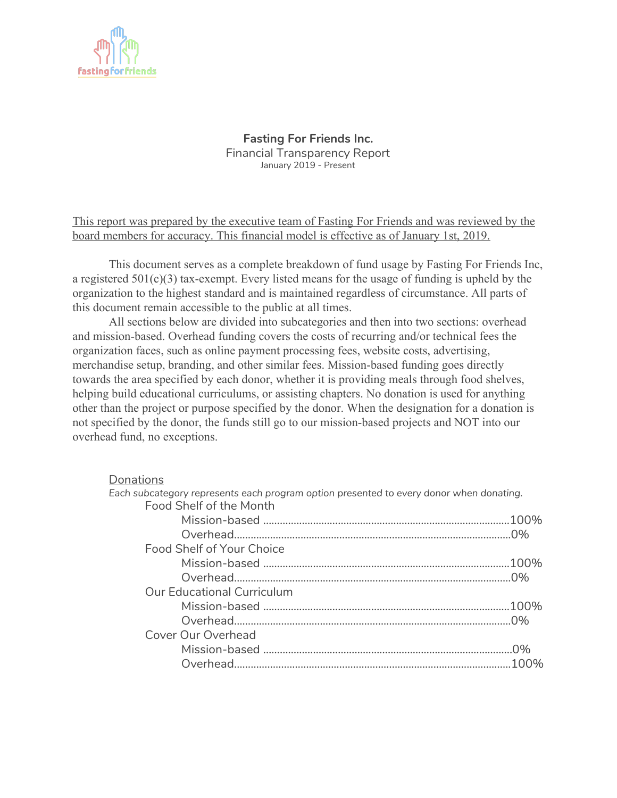

**Fasting For Friends Inc.** Financial Transparency Report January 2019 - Present

This report was prepared by the executive team of Fasting For Friends and was reviewed by the board members for accuracy. This financial model is effective as of January 1st, 2019.

This document serves as a complete breakdown of fund usage by Fasting For Friends Inc, a registered 501(c)(3) tax-exempt. Every listed means for the usage of funding is upheld by the organization to the highest standard and is maintained regardless of circumstance. All parts of this document remain accessible to the public at all times.

All sections below are divided into subcategories and then into two sections: overhead and mission-based. Overhead funding covers the costs of recurring and/or technical fees the organization faces, such as online payment processing fees, website costs, advertising, merchandise setup, branding, and other similar fees. Mission-based funding goes directly towards the area specified by each donor, whether it is providing meals through food shelves, helping build educational curriculums, or assisting chapters. No donation is used for anything other than the project or purpose specified by the donor. When the designation for a donation is not specified by the donor, the funds still go to our mission-based projects and NOT into our overhead fund, no exceptions.

## **Donations**

| Each subcategory represents each program option presented to every donor when donating. |  |
|-----------------------------------------------------------------------------------------|--|
| Food Shelf of the Month                                                                 |  |
|                                                                                         |  |
|                                                                                         |  |
| Food Shelf of Your Choice                                                               |  |
|                                                                                         |  |
|                                                                                         |  |
| <b>Our Educational Curriculum</b>                                                       |  |
|                                                                                         |  |
|                                                                                         |  |
| Cover Our Overhead                                                                      |  |
|                                                                                         |  |
|                                                                                         |  |